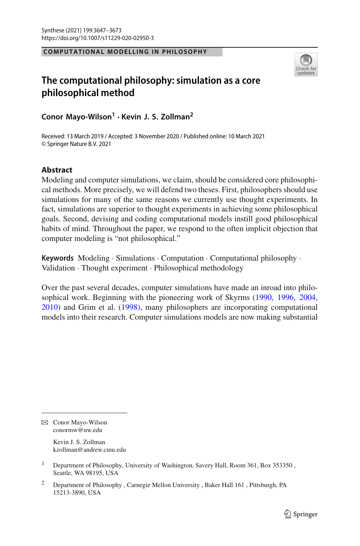## **COMPUTATIONAL MODELLING IN PHILOSOPHY**



# **The computational philosophy: simulation as a core philosophical method**

**Conor Mayo-Wilson<sup>1</sup> · Kevin J. S. Zollman2**

Received: 13 March 2019 / Accepted: 3 November 2020 / Published online: 10 March 2021 © Springer Nature B.V. 2021

# **Abstract**

Modeling and computer simulations, we claim, should be considered core philosophical methods. More precisely, we will defend two theses. First, philosophers should use simulations for many of the same reasons we currently use thought experiments. In fact, simulations are superior to thought experiments in achieving some philosophical goals. Second, devising and coding computational models instill good philosophical habits of mind. Throughout the paper, we respond to the often implicit objection that computer modeling is "not philosophical."

**Keywords** Modeling · Simulations · Computation · Computational philosophy · Validation · Thought experiment · Philosophical methodology

Over the past several decades, computer simulations have made an inroad into philosophical work. Beginning with the pioneering work of Skyrm[s](#page-25-0) [\(1990,](#page-25-0) [1996,](#page-25-1) [2004,](#page-25-2) [2010\)](#page-25-3) and Grim et al[.](#page-24-0) [\(1998\)](#page-24-0), many philosophers are incorporating computational models into their research. Computer simulations models are now making substantial

B Conor Mayo-Wilson conormw@uw.edu

> Kevin J. S. Zollman kzollman@andrew.cmu.edu

<sup>&</sup>lt;sup>1</sup> Department of Philosophy, University of Washington, Savery Hall, Room 361, Box 353350, Seattle, WA 98195, USA

<sup>&</sup>lt;sup>2</sup> Department of Philosophy , Carnegie Mellon University , Baker Hall 161, Pittsburgh, PA 15213-3890, USA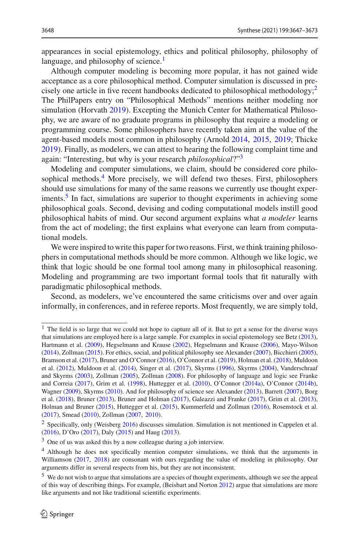appearances in social epistemology, ethics and political philosophy, philosophy of language, and philosophy of science. $<sup>1</sup>$  $<sup>1</sup>$  $<sup>1</sup>$ </sup>

Although computer modeling is becoming more popular, it has not gained wide acceptance as a core philosophical method. Computer simulation is discussed in precisely one article in five recent handbooks dedicated to philosophical methodology; $\frac{2}{3}$ The PhilPapers entry on "Philosophical Methods" mentions neither modeling nor simulation (Horvat[h](#page-24-1) [2019\)](#page-24-1). Excepting the Munich Center for Mathematical Philosophy, we are aware of no graduate programs in philosophy that require a modeling or programming course. Some philosophers have recently taken aim at the value of the agent-based models most common in philosophy (Arnol[d](#page-23-0) [2014,](#page-23-0) [2015,](#page-23-1) [2019](#page-23-2); Thick[e](#page-26-0) [2019\)](#page-26-0). Finally, as modelers, we can attest to hearing the following complaint time and again: "Interesting, but why is your research *philosophical*?["3](#page-1-2)

Modeling and computer simulations, we claim, should be considered core philosophical methods. $4$  More precisely, we will defend two theses. First, philosophers should use simulations for many of the same reasons we currently use thought experiments.<sup>5</sup> In fact, simulations are superior to thought experiments in achieving some philosophical goals. Second, devising and coding computational models instill good philosophical habits of mind. Our second argument explains what *a modeler* learns from the act of modeling; the first explains what everyone can learn from computational models.

We were inspired to write this paper for two reasons. First, we think training philosophers in computational methods should be more common. Although we like logic, we think that logic should be one formal tool among many in philosophical reasoning. Modeling and programming are two important formal tools that fit naturally with paradigmatic philosophical methods.

Second, as modelers, we've encountered the same criticisms over and over again informally, in conferences, and in referee reports. Most frequently, we are simply told,

<span id="page-1-0"></span><sup>&</sup>lt;sup>1</sup> The field is so large that we could not hope to capture all of it. But to get a sense for the diverse ways that simulations are employed here is a large sample. For examples in social epistemology see Bet[z](#page-23-3) [\(2013](#page-23-3)), Hartmann et al[.](#page-24-2) [\(2009](#page-24-2)), Hegselmann and Kraus[e](#page-24-3) [\(2002\)](#page-24-3), Hegselmann and Kraus[e](#page-24-4) [\(2006\)](#page-24-4), Mayo-Wilso[n](#page-25-4) [\(2014](#page-25-4)), Zollma[n](#page-26-1) [\(2015\)](#page-26-1). For ethics, social, and political philosophy see Alexande[r](#page-23-4) [\(2007\)](#page-23-4), Bicchier[i](#page-23-5) [\(2005](#page-23-5)), Bramson et al[.](#page-23-6) [\(2017\)](#page-23-6), Bruner and O'Conno[r](#page-23-7) [\(2016](#page-23-7)), O'Connor et al[.](#page-25-5) [\(2019\)](#page-25-5), Holman et al[.](#page-24-5) [\(2018\)](#page-24-5), Muldoon et al[.](#page-25-6) [\(2012\)](#page-25-6), Muldoon et al[.](#page-25-7) [\(2014](#page-25-7)), Singer et al[.](#page-25-8) [\(2017\)](#page-25-8), Skyrm[s](#page-25-1) [\(1996](#page-25-1)), Skyrm[s](#page-25-2) [\(2004](#page-25-2)), Vanderschraaf and Skyrm[s](#page-26-2) [\(2003](#page-26-2)), Zollma[n](#page-26-3) [\(2005\)](#page-26-3), Zollma[n](#page-26-4) [\(2008](#page-26-4)). For philosophy of language and logic see Franke and Correi[a](#page-24-6) [\(2017](#page-24-6)), Grim et al[.](#page-24-0) [\(1998\)](#page-24-0), Huttegger et al[.](#page-25-9) [\(2010\)](#page-25-9), O'Conno[r](#page-25-10) [\(2014a](#page-25-10)), O'Conno[r](#page-25-11) [\(2014b](#page-25-11)), Wagne[r](#page-26-5) [\(2009\)](#page-26-5), Skyrm[s](#page-25-3) [\(2010\)](#page-25-3). And for philosophy of science see Alexande[r](#page-23-8) [\(2013\)](#page-23-8), Barret[t](#page-23-9) [\(2007\)](#page-23-9), Borg et al[.](#page-23-10) [\(2018](#page-23-10)), Brune[r](#page-23-11) [\(2013\)](#page-23-11), Bruner and Holma[n](#page-23-12) [\(2017\)](#page-23-12), Galeazzi and Frank[e](#page-24-7) [\(2017](#page-24-7)), Grim et al[.](#page-24-8) [\(2013](#page-24-8)), Holman and Brune[r](#page-24-9) [\(2015\)](#page-24-9), Huttegger et al[.](#page-25-12) [\(2015\)](#page-25-12), Kummerfeld and Zollma[n](#page-25-13) [\(2016\)](#page-25-13), Rosenstock et al[.](#page-25-14) [\(2017](#page-25-14)), Smea[d](#page-25-15) [\(2010](#page-25-15)), Zollma[n](#page-26-6) [\(2007,](#page-26-6) [2010](#page-26-7)).

<span id="page-1-1"></span><sup>&</sup>lt;sup>2</sup> Specifically, only (Weisber[g](#page-26-8) [2016\)](#page-26-8) discusses simulation[.](#page-23-13) Simulation is not mentioned in Cappelen et al. [\(2016](#page-23-13)), D'Or[o](#page-24-10) [\(2017](#page-24-10)), Dal[y](#page-24-11) [\(2015](#page-24-11)) and Hau[g](#page-24-12) [\(2013](#page-24-12)).

<span id="page-1-2"></span><sup>3</sup> One of us was asked this by a now colleague during a job interview.

<span id="page-1-3"></span><sup>&</sup>lt;sup>4</sup> Although he does not specifically mention computer simulations, we think that the arguments in Williamso[n](#page-26-9) [\(2017](#page-26-9), [2018](#page-26-10)) are consonant with ours regarding the value of modeling in philosophy. Our arguments differ in several respects from his, but they are not inconsistent.

<span id="page-1-4"></span><sup>5</sup> We do not wish to argue that simulations are a species of thought experiments, although we see the appeal of this way of describing things. For example, (Beisbart and Norto[n](#page-23-14) [2012](#page-23-14)) argue that simulations are more like arguments and not like traditional scientific experiments.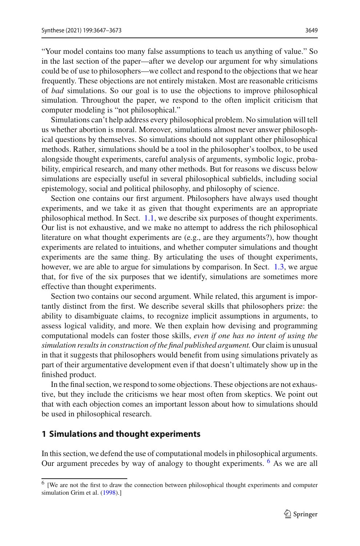"Your model contains too many false assumptions to teach us anything of value." So in the last section of the paper—after we develop our argument for why simulations could be of use to philosophers—we collect and respond to the objections that we hear frequently. These objections are not entirely mistaken. Most are reasonable criticisms of *bad* simulations. So our goal is to use the objections to improve philosophical simulation. Throughout the paper, we respond to the often implicit criticism that computer modeling is "not philosophical."

Simulations can't help address every philosophical problem. No simulation will tell us whether abortion is moral. Moreover, simulations almost never answer philosophical questions by themselves. So simulations should not supplant other philosophical methods. Rather, simulations should be a tool in the philosopher's toolbox, to be used alongside thought experiments, careful analysis of arguments, symbolic logic, probability, empirical research, and many other methods. But for reasons we discuss below simulations are especially useful in several philosophical subfields, including social epistemology, social and political philosophy, and philosophy of science.

Section one contains our first argument. Philosophers have always used thought experiments, and we take it as given that thought experiments are an appropriate philosophical method. In Sect. [1.1,](#page-3-0) we describe six purposes of thought experiments. Our list is not exhaustive, and we make no attempt to address the rich philosophical literature on what thought experiments are (e.g., are they arguments?), how thought experiments are related to intuitions, and whether computer simulations and thought experiments are the same thing. By articulating the uses of thought experiments, however, we are able to argue for simulations by comparison. In Sect. [1.3,](#page-9-0) we argue that, for five of the six purposes that we identify, simulations are sometimes more effective than thought experiments.

Section two contains our second argument. While related, this argument is importantly distinct from the first. We describe several skills that philosophers prize: the ability to disambiguate claims, to recognize implicit assumptions in arguments, to assess logical validity, and more. We then explain how devising and programming computational models can foster those skills, *even if one has no intent of using the simulation results in construction of the final published argument.* Our claim is unusual in that it suggests that philosophers would benefit from using simulations privately as part of their argumentative development even if that doesn't ultimately show up in the finished product.

In the final section, we respond to some objections. These objections are not exhaustive, but they include the criticisms we hear most often from skeptics. We point out that with each objection comes an important lesson about how to simulations should be used in philosophical research.

# <span id="page-2-1"></span>**1 Simulations and thought experiments**

In this section, we defend the use of computational models in philosophical arguments. Our argument precedes by way of analogy to thought experiments. <sup>[6](#page-2-0)</sup> As we are all

<span id="page-2-0"></span><sup>6</sup> [We are not the first to draw the connection between philosophical thought experiments and computer simulation Grim et al[.](#page-24-0) [\(1998](#page-24-0)).]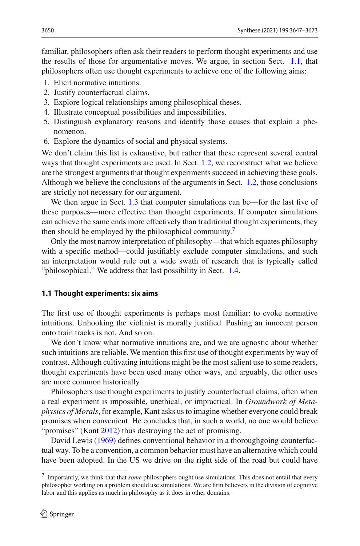familiar, philosophers often ask their readers to perform thought experiments and use the results of those for argumentative moves. We argue, in section Sect. [1.1,](#page-3-0) that philosophers often use thought experiments to achieve one of the following aims:

- 1. Elicit normative intuitions.
- 2. Justify counterfactual claims.
- 3. Explore logical relationships among philosophical theses.
- 4. Illustrate conceptual possibilities and impossibilities.
- 5. Distinguish explanatory reasons and identify those causes that explain a phenomenon.
- 6. Explore the dynamics of social and physical systems.

We don't claim this list is exhaustive, but rather that these represent several central ways that thought experiments are used. In Sect. [1.2,](#page-6-0) we reconstruct what we believe are the strongest arguments that thought experiments succeed in achieving these goals. Although we believe the conclusions of the arguments in Sect. [1.2,](#page-6-0) those conclusions are strictly not necessary for our argument.

We then argue in Sect. [1.3](#page-9-0) that computer simulations can be—for the last five of these purposes—more effective than thought experiments. If computer simulations can achieve the same ends more effectively than traditional thought experiments, they then should be employed by the philosophical community.<sup>[7](#page-3-1)</sup>

Only the most narrow interpretation of philosophy—that which equates philosophy with a specific method—could justifiably exclude computer simulations, and such an interpretation would rule out a wide swath of research that is typically called "philosophical." We address that last possibility in Sect. [1.4.](#page-13-0)

#### <span id="page-3-0"></span>**1.1 Thought experiments: six aims**

The first use of thought experiments is perhaps most familiar: to evoke normative intuitions. Unhooking the violinist is morally justified. Pushing an innocent person onto train tracks is not. And so on.

We don't know what normative intuitions are, and we are agnostic about whether such intuitions are reliable. We mention this first use of thought experiments by way of contrast. Although cultivating intuitions might be the most salient use to some readers, thought experiments have been used many other ways, and arguably, the other uses are more common historically.

Philosophers use thought experiments to justify counterfactual claims, often when a real experiment is impossible, unethical, or impractical. In *Groundwork of Metaphysics of Morals*, for example, Kant asks us to imagine whether everyone could break promises when convenient. He concludes that, in such a world, no one would believe "promises" (Kan[t](#page-25-16) [2012](#page-25-16)) thus destroying the act of promising.

David Lewis [\(1969](#page-25-17)) defines conventional behavior in a thoroughgoing counterfactual way. To be a convention, a common behavior must have an alternative which could have been adopted. In the US we drive on the right side of the road but could have

<span id="page-3-1"></span><sup>7</sup> Importantly, we think that that *some* philosophers ought use simulations. This does not entail that every philosopher working on a problem should use simulations. We are firm believers in the division of cognitive labor and this applies as much in philosophy as it does in other domains.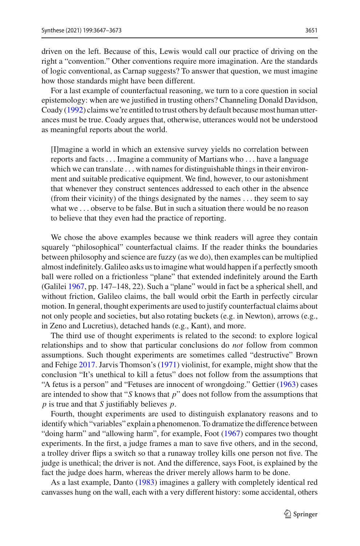driven on the left. Because of this, Lewis would call our practice of driving on the right a "convention." Other conventions require more imagination. Are the standards of logic conventional, as Carnap suggests? To answer that question, we must imagine how those standards might have been different.

For a last example of counterfactual reasoning, we turn to a core question in social epistemology: when are we justified in trusting others? Channeling Donald Davidson, Coad[y](#page-23-15) [\(1992](#page-23-15)) claims we're entitled to trust others by default because most human utterances must be true. Coady argues that, otherwise, utterances would not be understood as meaningful reports about the world.

[I]magine a world in which an extensive survey yields no correlation between reports and facts *...* Imagine a community of Martians who *...* have a language which we can translate  $\dots$  with names for distinguishable things in their environment and suitable predicative equipment. We find, however, to our astonishment that whenever they construct sentences addressed to each other in the absence (from their vicinity) of the things designated by the names *...* they seem to say what we ... observe to be false. But in such a situation there would be no reason to believe that they even had the practice of reporting.

We chose the above examples because we think readers will agree they contain squarely "philosophical" counterfactual claims. If the reader thinks the boundaries between philosophy and science are fuzzy (as we do), then examples can be multiplied almost indefinitely. Galileo asks us to imagine what would happen if a perfectly smooth ball were rolled on a frictionless "plane" that extended indefinitely around the Earth (Galile[i](#page-24-13) [1967](#page-24-13), pp. 147–148, 22). Such a "plane" would in fact be a spherical shell, and without friction, Galileo claims, the ball would orbit the Earth in perfectly circular motion. In general, thought experiments are used to justify counterfactual claims about not only people and societies, but also rotating buckets (e.g. in Newton), arrows (e.g., in Zeno and Lucretius), detached hands (e.g., Kant), and more.

The third use of thought experiments is related to the second: to explore logical relationships and to show that particular conclusions do *not* follow from common assumptions. Such thought experiments are sometimes called "destructive" Brown and Fehig[e](#page-23-16) [2017](#page-23-16). Jarvis Thomson's [\(1971\)](#page-25-18) violinist, for example, might show that the conclusion "It's unethical to kill a fetus" does not follow from the assumptions that "A fetus is a person" and "Fetuses are innocent of wrongdoing." Gettier [\(1963](#page-24-14)) cases are intended to show that "*S* knows that *p*" does not follow from the assumptions that *p* is true and that *S* justifiably believes *p*.

Fourth, thought experiments are used to distinguish explanatory reasons and to identify which "variables" explain a phenomenon. To dramatize the difference between "doing harm" and "allowing harm", for example, Foo[t](#page-24-15) [\(1967](#page-24-15)) compares two thought experiments. In the first, a judge frames a man to save five others, and in the second, a trolley driver flips a switch so that a runaway trolley kills one person not five. The judge is unethical; the driver is not. And the difference, says Foot, is explained by the fact the judge does harm, whereas the driver merely allows harm to be done.

As a last example, Dant[o](#page-24-16) [\(1983\)](#page-24-16) imagines a gallery with completely identical red canvasses hung on the wall, each with a very different history: some accidental, others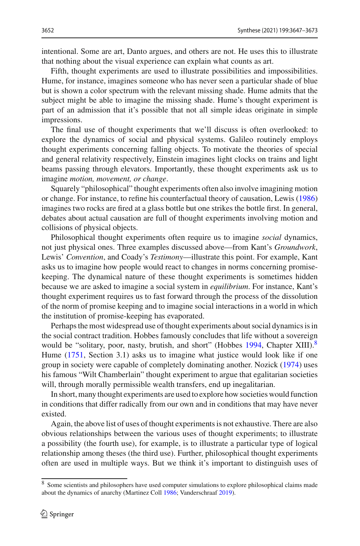intentional. Some are art, Danto argues, and others are not. He uses this to illustrate that nothing about the visual experience can explain what counts as art.

Fifth, thought experiments are used to illustrate possibilities and impossibilities. Hume, for instance, imagines someone who has never seen a particular shade of blue but is shown a color spectrum with the relevant missing shade. Hume admits that the subject might be able to imagine the missing shade. Hume's thought experiment is part of an admission that it's possible that not all simple ideas originate in simple impressions.

The final use of thought experiments that we'll discuss is often overlooked: to explore the dynamics of social and physical systems. Galileo routinely employs thought experiments concerning falling objects. To motivate the theories of special and general relativity respectively, Einstein imagines light clocks on trains and light beams passing through elevators. Importantly, these thought experiments ask us to imagine *motion, movement, or change*.

Squarely "philosophical" thought experiments often also involve imagining motion or change. For instance, to refine his counterfactual theory of causation, Lewi[s](#page-25-19) [\(1986\)](#page-25-19) imagines two rocks are fired at a glass bottle but one strikes the bottle first. In general, debates about actual causation are full of thought experiments involving motion and collisions of physical objects.

Philosophical thought experiments often require us to imagine *social* dynamics, not just physical ones. Three examples discussed above—from Kant's *Groundwork*, Lewis' *Convention*, and Coady's *Testimony*—illustrate this point. For example, Kant asks us to imagine how people would react to changes in norms concerning promisekeeping. The dynamical nature of these thought experiments is sometimes hidden because we are asked to imagine a social system in *equilibrium*. For instance, Kant's thought experiment requires us to fast forward through the process of the dissolution of the norm of promise keeping and to imagine social interactions in a world in which the institution of promise-keeping has evaporated.

Perhaps the most widespread use of thought experiments about social dynamics is in the social contract tradition. Hobbes famously concludes that life without a sovereign would be "[s](#page-24-17)olitary, poor, nasty, brutish, and short" (Hobbes  $1994$ , Chapter XIII).<sup>[8](#page-5-0)</sup> Hume [\(1751](#page-24-18), Section 3.1) asks us to imagine what justice would look like if one group in society were capable of completely dominating another. Nozic[k](#page-25-20) [\(1974](#page-25-20)) uses his famous "Wilt Chamberlain" thought experiment to argue that egalitarian societies will, through morally permissible wealth transfers, end up inegalitarian.

In short, many thought experiments are used to explore how societies would function in conditions that differ radically from our own and in conditions that may have never existed.

Again, the above list of uses of thought experiments is not exhaustive. There are also obvious relationships between the various uses of thought experiments; to illustrate a possibility (the fourth use), for example, is to illustrate a particular type of logical relationship among theses (the third use). Further, philosophical thought experiments often are used in multiple ways. But we think it's important to distinguish uses of

<span id="page-5-0"></span><sup>8</sup> Some scientists and philosophers have used computer simulations to explore philosophical claims made about the dynamics of anarchy (Martinez Col[l](#page-25-21) [1986;](#page-25-21) Vanderschraa[f](#page-26-11) [2019](#page-26-11)).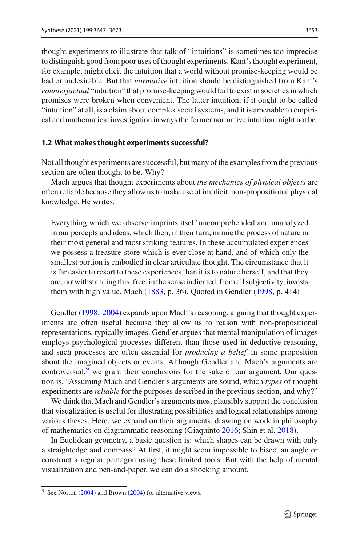thought experiments to illustrate that talk of "intuitions" is sometimes too imprecise to distinguish good from poor uses of thought experiments. Kant's thought experiment, for example, might elicit the intuition that a world without promise-keeping would be bad or undesirable. But that *normative* intuition should be distinguished from Kant's *counterfactual* "intuition" that promise-keeping would fail to exist in societies in which promises were broken when convenient. The latter intuition, if it ought to be called "intuition" at all, is a claim about complex social systems, and it is amenable to empirical and mathematical investigation in ways the former normative intuition might not be.

#### <span id="page-6-0"></span>**1.2 What makes thought experiments successful?**

Not all thought experiments are successful, but many of the examples from the previous section are often thought to be. Why?

Mach argues that thought experiments about *the mechanics of physical objects* are often reliable because they allow us to make use of implicit, non-propositional physical knowledge. He writes:

Everything which we observe imprints itself uncomprehended and unanalyzed in our percepts and ideas, which then, in their turn, mimic the process of nature in their most general and most striking features. In these accumulated experiences we possess a treasure-store which is ever close at hand, and of which only the smallest portion is embodied in clear articulate thought. The circumstance that it is far easier to resort to these experiences than it is to nature herself, and that they are, notwithstanding this, free, in the sense indicated, from all subjectivity, invests them with high value. Mach [\(1883,](#page-25-22) p. 36). Quoted in Gendler [\(1998,](#page-24-19) p. 414)

Gendle[r](#page-24-19) [\(1998](#page-24-19), [2004](#page-24-20)) expands upon Mach's reasoning, arguing that thought experiments are often useful because they allow us to reason with non-propositional representations, typically images. Gendler argues that mental manipulation of images employs psychological processes different than those used in deductive reasoning, and such processes are often essential for *producing a belief* in some proposition about the imagined objects or events. Although Gendler and Mach's arguments are controversial, <sup>[9](#page-6-1)</sup> we grant their conclusions for the sake of our argument. Our question is, "Assuming Mach and Gendler's arguments are sound, which *types* of thought experiments are *reliable* for the purposes described in the previous section, and why?"

We think that Mach and Gendler's arguments most plausibly support the conclusion that visualization is useful for illustrating possibilities and logical relationships among various theses. Here, we expand on their arguments, drawing on work in philosophy of mathematics on diagrammatic reasoning (Giaquint[o](#page-24-21) [2016;](#page-24-21) Shin et al[.](#page-25-23) [2018\)](#page-25-23).

In Euclidean geometry, a basic question is: which shapes can be drawn with only a straightedge and compass? At first, it might seem impossible to bisect an angle or construct a regular pentagon using these limited tools. But with the help of mental visualization and pen-and-paper, we can do a shocking amount.

<span id="page-6-1"></span><sup>&</sup>lt;sup>9</sup> See Norto[n](#page-23-17) [\(2004](#page-25-24)) and Brown [\(2004\)](#page-23-17) for alternative views.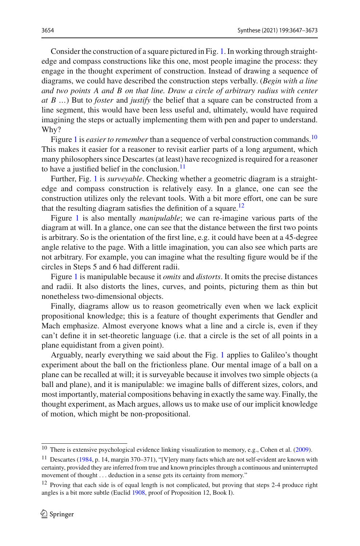Consider the construction of a square pictured in Fig. [1.](#page-8-0) In working through straightedge and compass constructions like this one, most people imagine the process: they engage in the thought experiment of construction. Instead of drawing a sequence of diagrams, we could have described the construction steps verbally. (*Begin with a line and two points A and B on that line. Draw a circle of arbitrary radius with center at B …*) But to *foster* and *justify* the belief that a square can be constructed from a line segment, this would have been less useful and, ultimately, would have required imagining the steps or actually implementing them with pen and paper to understand. Why?

Figure [1](#page-8-0) is *easier to remember* than a sequence of verbal construction commands.<sup>10</sup> This makes it easier for a reasoner to revisit earlier parts of a long argument, which many philosophers since Descartes (at least) have recognized is required for a reasoner to have a justified belief in the conclusion. $11$ 

Further, Fig. [1](#page-8-0) is *surveyable*. Checking whether a geometric diagram is a straightedge and compass construction is relatively easy. In a glance, one can see the construction utilizes only the relevant tools. With a bit more effort, one can be sure that the resulting diagram satisfies the definition of a square.<sup>12</sup>

Figure [1](#page-8-0) is also mentally *manipulable*; we can re-imagine various parts of the diagram at will. In a glance, one can see that the distance between the first two points is arbitrary. So is the orientation of the first line, e.g. it could have been at a 45-degree angle relative to the page. With a little imagination, you can also see which parts are not arbitrary. For example, you can imagine what the resulting figure would be if the circles in Steps 5 and 6 had different radii.

Figure [1](#page-8-0) is manipulable because it *omits* and *distorts*. It omits the precise distances and radii. It also distorts the lines, curves, and points, picturing them as thin but nonetheless two-dimensional objects.

Finally, diagrams allow us to reason geometrically even when we lack explicit propositional knowledge; this is a feature of thought experiments that Gendler and Mach emphasize. Almost everyone knows what a line and a circle is, even if they can't define it in set-theoretic language (i.e. that a circle is the set of all points in a plane equidistant from a given point).

Arguably, nearly everything we said about the Fig. [1](#page-8-0) applies to Galileo's thought experiment about the ball on the frictionless plane. Our mental image of a ball on a plane can be recalled at will; it is surveyable because it involves two simple objects (a ball and plane), and it is manipulable: we imagine balls of different sizes, colors, and most importantly, material compositions behaving in exactly the same way. Finally, the thought experiment, as Mach argues, allows us to make use of our implicit knowledge of motion, which might be non-propositional.

<span id="page-7-0"></span><sup>&</sup>lt;sup>10</sup> There is extensive psychological evidence linking visualization to memory, e[.](#page-24-22)g., Cohen et al. [\(2009\)](#page-24-22).

<span id="page-7-1"></span><sup>11</sup> Descartes [\(1984](#page-24-23), p. 14, margin 370–371), "[V]ery many facts which are not self-evident are known with certainty, provided they are inferred from true and known principles through a continuous and uninterrupted movement of thought *...* deduction in a sense gets its certainty from memory."

<span id="page-7-2"></span><sup>&</sup>lt;sup>12</sup> Proving that each side is of equal length is not complicated, but proving that steps 2-4 produce right angles is a bit more subtle (Eucli[d](#page-24-24) [1908](#page-24-24), proof of Proposition 12, Book I).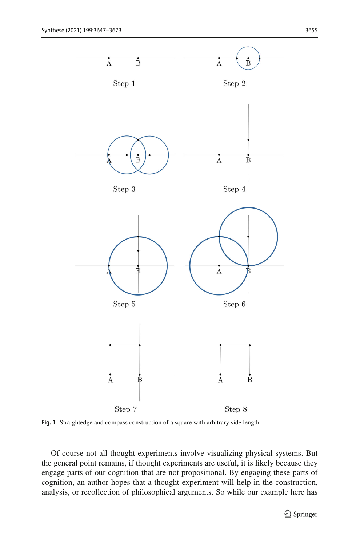

<span id="page-8-0"></span>**Fig. 1** Straightedge and compass construction of a square with arbitrary side length

Of course not all thought experiments involve visualizing physical systems. But the general point remains, if thought experiments are useful, it is likely because they engage parts of our cognition that are not propositional. By engaging these parts of cognition, an author hopes that a thought experiment will help in the construction, analysis, or recollection of philosophical arguments. So while our example here has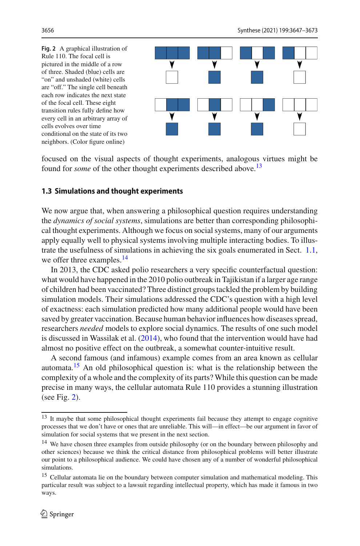<span id="page-9-4"></span>**Fig. 2** A graphical illustration of Rule 110. The focal cell is pictured in the middle of a row of three. Shaded (blue) cells are "on" and unshaded (white) cells are "off." The single cell beneath each row indicates the next state of the focal cell. These eight transition rules fully define how every cell in an arbitrary array of cells evolves over time conditional on the state of its two neighbors. (Color figure online)



focused on the visual aspects of thought experiments, analogous virtues might be found for *some* of the other thought experiments described above.<sup>13</sup>

## <span id="page-9-0"></span>**1.3 Simulations and thought experiments**

We now argue that, when answering a philosophical question requires understanding the *dynamics of social systems*, simulations are better than corresponding philosophical thought experiments. Although we focus on social systems, many of our arguments apply equally well to physical systems involving multiple interacting bodies. To illustrate the usefulness of simulations in achieving the six goals enumerated in Sect. [1.1,](#page-3-0) we offer three examples.<sup>[14](#page-9-2)</sup>

In 2013, the CDC asked polio researchers a very specific counterfactual question: what would have happened in the 2010 polio outbreak in Tajikistan if a larger age range of children had been vaccinated? Three distinct groups tackled the problem by building simulation models. Their simulations addressed the CDC's question with a high level of exactness: each simulation predicted how many additional people would have been saved by greater vaccination. Because human behavior influences how diseases spread, researchers *needed* models to explore social dynamics. The results of one such model is discussed in Wassilak et al[.](#page-26-12) [\(2014\)](#page-26-12), who found that the intervention would have had almost no positive effect on the outbreak, a somewhat counter-intuitive result.

A second famous (and infamous) example comes from an area known as cellular automata[.15](#page-9-3) An old philosophical question is: what is the relationship between the complexity of a whole and the complexity of its parts? While this question can be made precise in many ways, the cellular automata Rule 110 provides a stunning illustration (see Fig. [2\)](#page-9-4).

<span id="page-9-1"></span><sup>&</sup>lt;sup>13</sup> It maybe that some philosophical thought experiments fail because they attempt to engage cognitive processes that we don't have or ones that are unreliable. This will—in effect—be our argument in favor of simulation for social systems that we present in the next section.

<span id="page-9-2"></span><sup>&</sup>lt;sup>14</sup> We have chosen three examples from outside philosophy (or on the boundary between philosophy and other sciences) because we think the critical distance from philosophical problems will better illustrate our point to a philosophical audience. We could have chosen any of a number of wonderful philosophical simulations.

<span id="page-9-3"></span><sup>&</sup>lt;sup>15</sup> Cellular automata lie on the boundary between computer simulation and mathematical modeling. This particular result was subject to a lawsuit regarding intellectual property, which has made it famous in two ways.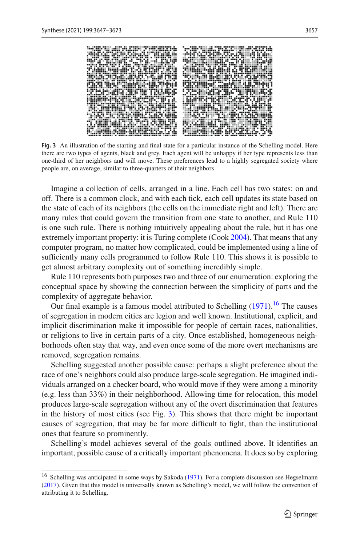

**Fig. 3** An illustration of the starting and final state for a particular instance of the Schelling model. Here there are two types of agents, black and grey. Each agent will be unhappy if her type represents less than one-third of her neighbors and will move. These preferences lead to a highly segregated society where people are, on average, similar to three-quarters of their neighbors

<span id="page-10-1"></span>Imagine a collection of cells, arranged in a line. Each cell has two states: on and off. There is a common clock, and with each tick, each cell updates its state based on the state of each of its neighbors (the cells on the immediate right and left). There are many rules that could govern the transition from one state to another, and Rule 110 is one such rule. There is nothing intuitively appealing about the rule, but it has one extremely important property: it is Turing complete (Coo[k](#page-24-25) [2004\)](#page-24-25). That means that any computer program, no matter how complicated, could be implemented using a line of sufficiently many cells programmed to follow Rule 110. This shows it is possible to get almost arbitrary complexity out of something incredibly simple.

Rule 110 represents both purposes two and three of our enumeration: exploring the conceptual space by showing the connection between the simplicity of parts and the complexity of aggregate behavior.

Our final example is a famous model attributed to Schellin[g](#page-25-25)  $(1971)$  $(1971)$ .<sup>[16](#page-10-0)</sup> The causes of segregation in modern cities are legion and well known. Institutional, explicit, and implicit discrimination make it impossible for people of certain races, nationalities, or religions to live in certain parts of a city. Once established, homogeneous neighborhoods often stay that way, and even once some of the more overt mechanisms are removed, segregation remains.

Schelling suggested another possible cause: perhaps a slight preference about the race of one's neighbors could also produce large-scale segregation. He imagined individuals arranged on a checker board, who would move if they were among a minority (e.g. less than 33%) in their neighborhood. Allowing time for relocation, this model produces large-scale segregation without any of the overt discrimination that features in the history of most cities (see Fig. [3\)](#page-10-1). This shows that there might be important causes of segregation, that may be far more difficult to fight, than the institutional ones that feature so prominently.

Schelling's model achieves several of the goals outlined above. It identifies an important, possible cause of a critically important phenomena. It does so by exploring

<span id="page-10-0"></span><sup>&</sup>lt;sup>16</sup> Schelling w[a](#page-25-26)s anticipated in some ways by Sakoda [\(1971](#page-25-26)). For a complete discussio[n](#page-24-26) see Hegselmann [\(2017](#page-24-26)). Given that this model is universally known as Schelling's model, we will follow the convention of attributing it to Schelling.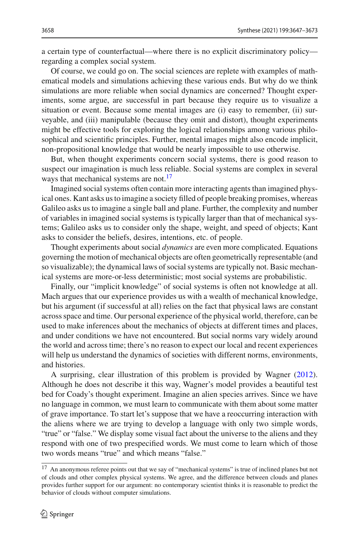a certain type of counterfactual—where there is no explicit discriminatory policy regarding a complex social system.

Of course, we could go on. The social sciences are replete with examples of mathematical models and simulations achieving these various ends. But why do we think simulations are more reliable when social dynamics are concerned? Thought experiments, some argue, are successful in part because they require us to visualize a situation or event. Because some mental images are (i) easy to remember, (ii) surveyable, and (iii) manipulable (because they omit and distort), thought experiments might be effective tools for exploring the logical relationships among various philosophical and scientific principles. Further, mental images might also encode implicit, non-propositional knowledge that would be nearly impossible to use otherwise.

But, when thought experiments concern social systems, there is good reason to suspect our imagination is much less reliable. Social systems are complex in several ways that mechanical systems are not.<sup>17</sup>

Imagined social systems often contain more interacting agents than imagined physical ones. Kant asks us to imagine a society filled of people breaking promises, whereas Galileo asks us to imagine a single ball and plane. Further, the complexity and number of variables in imagined social systems is typically larger than that of mechanical systems; Galileo asks us to consider only the shape, weight, and speed of objects; Kant asks to consider the beliefs, desires, intentions, etc. of people.

Thought experiments about social *dynamics* are even more complicated. Equations governing the motion of mechanical objects are often geometrically representable (and so visualizable); the dynamical laws of social systems are typically not. Basic mechanical systems are more-or-less deterministic; most social systems are probabilistic.

Finally, our "implicit knowledge" of social systems is often not knowledge at all. Mach argues that our experience provides us with a wealth of mechanical knowledge, but his argument (if successful at all) relies on the fact that physical laws are constant across space and time. Our personal experience of the physical world, therefore, can be used to make inferences about the mechanics of objects at different times and places, and under conditions we have not encountered. But social norms vary widely around the world and across time; there's no reason to expect our local and recent experiences will help us understand the dynamics of societies with different norms, environments, and histories.

A surprising, clear illustration of this problem is provided by Wagne[r](#page-26-13) [\(2012](#page-26-13)). Although he does not describe it this way, Wagner's model provides a beautiful test bed for Coady's thought experiment. Imagine an alien species arrives. Since we have no language in common, we must learn to communicate with them about some matter of grave importance. To start let's suppose that we have a reoccurring interaction with the aliens where we are trying to develop a language with only two simple words, "true" or "false." We display some visual fact about the universe to the aliens and they respond with one of two prespecified words. We must come to learn which of those two words means "true" and which means "false."

<span id="page-11-0"></span><sup>&</sup>lt;sup>17</sup> An anonymous referee points out that we say of "mechanical systems" is true of inclined planes but not of clouds and other complex physical systems. We agree, and the difference between clouds and planes provides further support for our argument: no contemporary scientist thinks it is reasonable to predict the behavior of clouds without computer simulations.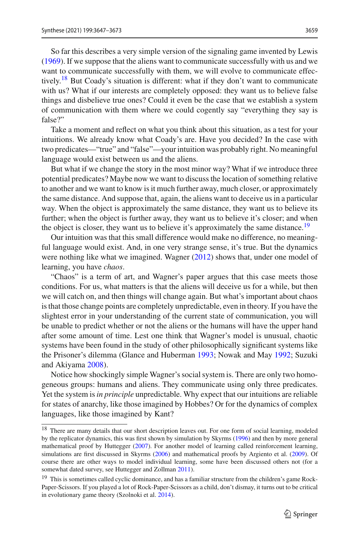So far this describes a very simple version of the signaling game invented by Lewi[s](#page-25-17) [\(1969\)](#page-25-17). If we suppose that the aliens want to communicate successfully with us and we want to communicate successfully with them, we will evolve to communicate effectively.[18](#page-12-0) But Coady's situation is different: what if they don't want to communicate with us? What if our interests are completely opposed: they want us to believe false things and disbelieve true ones? Could it even be the case that we establish a system of communication with them where we could cogently say "everything they say is false?"

Take a moment and reflect on what you think about this situation, as a test for your intuitions. We already know what Coady's are. Have you decided? In the case with two predicates—"true" and "false"—your intuition was probably right. No meaningful language would exist between us and the aliens.

But what if we change the story in the most minor way? What if we introduce three potential predicates? Maybe now we want to discuss the location of something relative to another and we want to know is it much further away, much closer, or approximately the same distance. And suppose that, again, the aliens want to deceive us in a particular way. When the object is approximately the same distance, they want us to believe its further; when the object is further away, they want us to believe it's closer; and when the object is closer, they want us to believe it's approximately the same distance.<sup>19</sup>

Our intuition was that this small difference would make no difference, no meaningful language would exist. And, in one very strange sense, it's true. But the dynamics were nothing like what we imagined. Wagne[r](#page-26-13) [\(2012](#page-26-13)) shows that, under one model of learning, you have *chaos*.

"Chaos" is a term of art, and Wagner's paper argues that this case meets those conditions. For us, what matters is that the aliens will deceive us for a while, but then we will catch on, and then things will change again. But what's important about chaos is that those change points are completely unpredictable, even in theory. If you have the slightest error in your understanding of the current state of communication, you will be unable to predict whether or not the aliens or the humans will have the upper hand after some amount of time. Lest one think that Wagner's model is unusual, chaotic systems have been found in the study of other philosophically significant systems like the Prisoner's dilemma (Glance and Huberma[n](#page-24-27) [1993;](#page-24-27) Nowak and Ma[y](#page-25-27) [1992](#page-25-27); Suzuki and Akiyam[a](#page-25-28) [2008\)](#page-25-28).

Notice how shockingly simple Wagner's social system is. There are only two homogeneous groups: humans and aliens. They communicate using only three predicates. Yet the system is*in principle* unpredictable. Why expect that our intuitions are reliable for states of anarchy, like those imagined by Hobbes? Or for the dynamics of complex languages, like those imagined by Kant?

<span id="page-12-0"></span><sup>&</sup>lt;sup>18</sup> There are many details that our short description leaves out. For one form of social learning, modeled by the replicator dynamics, this was first shown by simulation by Skyrm[s](#page-25-1) [\(1996](#page-25-1)) and then by more general mathematical p[r](#page-24-28)oof by Huttegger [\(2007\)](#page-24-28). For another model of learning called reinforcement learning, simulations are first discussed in Skyrm[s](#page-25-29) [\(2006](#page-25-29)) and mathematical proofs by Argiento et al[.](#page-23-18) [\(2009](#page-23-18)). Of course there are other ways to model individual learning, some have been discussed others not (for a somewhat dated survey, see Huttegger and Zollma[n](#page-25-30) [2011\)](#page-25-30).

<span id="page-12-1"></span><sup>&</sup>lt;sup>19</sup> This is sometimes called cyclic dominance, and has a familiar structure from the children's game Rock-Paper-Scissors. If you played a lot of Rock-Paper-Scissors as a child, don't dismay, it turns out to be critical in evolutionary game theory (Szolnoki et al[.](#page-26-14) [2014\)](#page-26-14).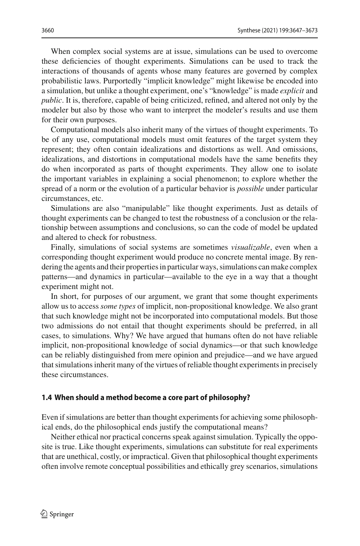When complex social systems are at issue, simulations can be used to overcome these deficiencies of thought experiments. Simulations can be used to track the interactions of thousands of agents whose many features are governed by complex probabilistic laws. Purportedly "implicit knowledge" might likewise be encoded into a simulation, but unlike a thought experiment, one's "knowledge" is made *explicit* and *public*. It is, therefore, capable of being criticized, refined, and altered not only by the modeler but also by those who want to interpret the modeler's results and use them for their own purposes.

Computational models also inherit many of the virtues of thought experiments. To be of any use, computational models must omit features of the target system they represent; they often contain idealizations and distortions as well. And omissions, idealizations, and distortions in computational models have the same benefits they do when incorporated as parts of thought experiments. They allow one to isolate the important variables in explaining a social phenomenon; to explore whether the spread of a norm or the evolution of a particular behavior is *possible* under particular circumstances, etc.

Simulations are also "manipulable" like thought experiments. Just as details of thought experiments can be changed to test the robustness of a conclusion or the relationship between assumptions and conclusions, so can the code of model be updated and altered to check for robustness.

Finally, simulations of social systems are sometimes *visualizable*, even when a corresponding thought experiment would produce no concrete mental image. By rendering the agents and their properties in particular ways, simulations can make complex patterns—and dynamics in particular—available to the eye in a way that a thought experiment might not.

In short, for purposes of our argument, we grant that some thought experiments allow us to access *some types* of implicit, non-propositional knowledge. We also grant that such knowledge might not be incorporated into computational models. But those two admissions do not entail that thought experiments should be preferred, in all cases, to simulations. Why? We have argued that humans often do not have reliable implicit, non-propositional knowledge of social dynamics—or that such knowledge can be reliably distinguished from mere opinion and prejudice—and we have argued that simulations inherit many of the virtues of reliable thought experiments in precisely these circumstances.

#### <span id="page-13-0"></span>**1.4 When should a method become a core part of philosophy?**

Even if simulations are better than thought experiments for achieving some philosophical ends, do the philosophical ends justify the computational means?

Neither ethical nor practical concerns speak against simulation. Typically the opposite is true. Like thought experiments, simulations can substitute for real experiments that are unethical, costly, or impractical. Given that philosophical thought experiments often involve remote conceptual possibilities and ethically grey scenarios, simulations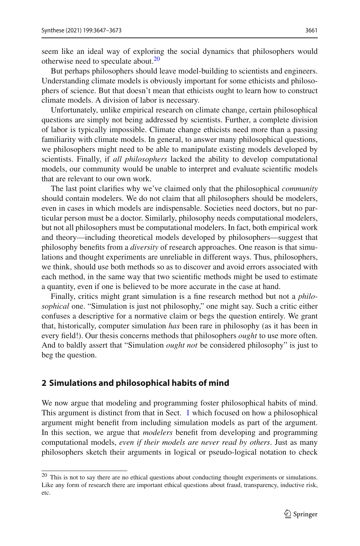seem like an ideal way of exploring the social dynamics that philosophers would otherwise need to speculate about. $20$ 

But perhaps philosophers should leave model-building to scientists and engineers. Understanding climate models is obviously important for some ethicists and philosophers of science. But that doesn't mean that ethicists ought to learn how to construct climate models. A division of labor is necessary.

Unfortunately, unlike empirical research on climate change, certain philosophical questions are simply not being addressed by scientists. Further, a complete division of labor is typically impossible. Climate change ethicists need more than a passing familiarity with climate models. In general, to answer many philosophical questions, we philosophers might need to be able to manipulate existing models developed by scientists. Finally, if *all philosophers* lacked the ability to develop computational models, our community would be unable to interpret and evaluate scientific models that are relevant to our own work.

The last point clarifies why we've claimed only that the philosophical *community* should contain modelers. We do not claim that all philosophers should be modelers, even in cases in which models are indispensable. Societies need doctors, but no particular person must be a doctor. Similarly, philosophy needs computational modelers, but not all philosophers must be computational modelers. In fact, both empirical work and theory—including theoretical models developed by philosophers—suggest that philosophy benefits from a *diversity* of research approaches. One reason is that simulations and thought experiments are unreliable in different ways. Thus, philosophers, we think, should use both methods so as to discover and avoid errors associated with each method, in the same way that two scientific methods might be used to estimate a quantity, even if one is believed to be more accurate in the case at hand.

Finally, critics might grant simulation is a fine research method but not a *philosophical* one. "Simulation is just not philosophy," one might say. Such a critic either confuses a descriptive for a normative claim or begs the question entirely. We grant that, historically, computer simulation *has* been rare in philosophy (as it has been in every field!). Our thesis concerns methods that philosophers *ought* to use more often. And to baldly assert that "Simulation *ought not* be considered philosophy" is just to beg the question.

# **2 Simulations and philosophical habits of mind**

We now argue that modeling and programming foster philosophical habits of mind. This argument is distinct from that in Sect. [1](#page-2-1) which focused on how a philosophical argument might benefit from including simulation models as part of the argument. In this section, we argue that *modelers* benefit from developing and programming computational models, *even if their models are never read by others*. Just as many philosophers sketch their arguments in logical or pseudo-logical notation to check

<span id="page-14-0"></span><sup>20</sup> This is not to say there are no ethical questions about conducting thought experiments or simulations. Like any form of research there are important ethical questions about fraud, transparency, inductive risk, etc.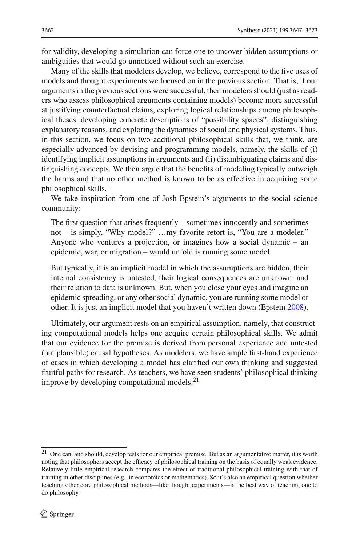for validity, developing a simulation can force one to uncover hidden assumptions or ambiguities that would go unnoticed without such an exercise.

Many of the skills that modelers develop, we believe, correspond to the five uses of models and thought experiments we focused on in the previous section. That is, if our arguments in the previous sections were successful, then modelers should (just as readers who assess philosophical arguments containing models) become more successful at justifying counterfactual claims, exploring logical relationships among philosophical theses, developing concrete descriptions of "possibility spaces", distinguishing explanatory reasons, and exploring the dynamics of social and physical systems. Thus, in this section, we focus on two additional philosophical skills that, we think, are especially advanced by devising and programming models, namely, the skills of (i) identifying implicit assumptions in arguments and (ii) disambiguating claims and distinguishing concepts. We then argue that the benefits of modeling typically outweigh the harms and that no other method is known to be as effective in acquiring some philosophical skills.

We take inspiration from one of Josh Epstein's arguments to the social science community:

The first question that arises frequently – sometimes innocently and sometimes not – is simply, "Why model?" …my favorite retort is, "You are a modeler." Anyone who ventures a projection, or imagines how a social dynamic – an epidemic, war, or migration – would unfold is running some model.

But typically, it is an implicit model in which the assumptions are hidden, their internal consistency is untested, their logical consequences are unknown, and their relation to data is unknown. But, when you close your eyes and imagine an epidemic spreading, or any other social dynamic, you are running some model or other. It is just an implicit model that you haven't written down (Epstei[n](#page-24-29) [2008\)](#page-24-29).

Ultimately, our argument rests on an empirical assumption, namely, that constructing computational models helps one acquire certain philosophical skills. We admit that our evidence for the premise is derived from personal experience and untested (but plausible) causal hypotheses. As modelers, we have ample first-hand experience of cases in which developing a model has clarified our own thinking and suggested fruitful paths for research. As teachers, we have seen students' philosophical thinking improve by developing computational models. $^{21}$  $^{21}$  $^{21}$ 

<span id="page-15-0"></span> $21$  One can, and should, develop tests for our empirical premise. But as an argumentative matter, it is worth noting that philosophers accept the efficacy of philosophical training on the basis of equally weak evidence. Relatively little empirical research compares the effect of traditional philosophical training with that of training in other disciplines (e.g., in economics or mathematics). So it's also an empirical question whether teaching other core philosophical methods—like thought experiments—is the best way of teaching one to do philosophy.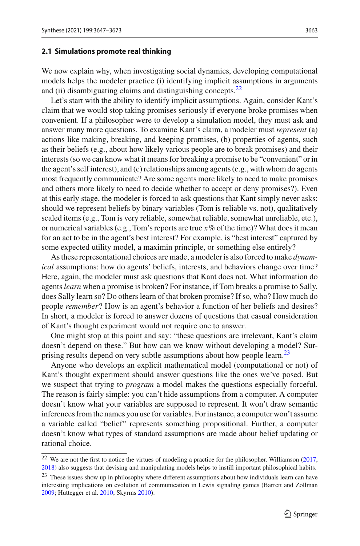#### **2.1 Simulations promote real thinking**

We now explain why, when investigating social dynamics, developing computational models helps the modeler practice (i) identifying implicit assumptions in arguments and (ii) disambiguating claims and distinguishing concepts.<sup>22</sup>

Let's start with the ability to identify implicit assumptions. Again, consider Kant's claim that we would stop taking promises seriously if everyone broke promises when convenient. If a philosopher were to develop a simulation model, they must ask and answer many more questions. To examine Kant's claim, a modeler must *represent* (a) actions like making, breaking, and keeping promises, (b) properties of agents, such as their beliefs (e.g., about how likely various people are to break promises) and their interests (so we can know what it means for breaking a promise to be "convenient" or in the agent's self interest), and (c) relationships among agents (e.g., with whom do agents most frequently communicate? Are some agents more likely to need to make promises and others more likely to need to decide whether to accept or deny promises?). Even at this early stage, the modeler is forced to ask questions that Kant simply never asks: should we represent beliefs by binary variables (Tom is reliable vs. not), qualitatively scaled items (e.g., Tom is very reliable, somewhat reliable, somewhat unreliable, etc.), or numerical variables (e.g., Tom's reports are true  $x\%$  of the time)? What does it mean for an act to be in the agent's best interest? For example, is "best interest" captured by some expected utility model, a maximin principle, or something else entirely?

As these representational choices are made, a modeler is also forced to make *dynamical* assumptions: how do agents' beliefs, interests, and behaviors change over time? Here, again, the modeler must ask questions that Kant does not. What information do agents*learn* when a promise is broken? For instance, if Tom breaks a promise to Sally, does Sally learn so? Do others learn of that broken promise? If so, who? How much do people *remember*? How is an agent's behavior a function of her beliefs and desires? In short, a modeler is forced to answer dozens of questions that casual consideration of Kant's thought experiment would not require one to answer.

One might stop at this point and say: "these questions are irrelevant, Kant's claim doesn't depend on these." But how can we know without developing a model? Sur-prising results depend on very subtle assumptions about how people learn.<sup>[23](#page-16-1)</sup>

Anyone who develops an explicit mathematical model (computational or not) of Kant's thought experiment should answer questions like the ones we've posed. But we suspect that trying to *program* a model makes the questions especially forceful. The reason is fairly simple: you can't hide assumptions from a computer. A computer doesn't know what your variables are supposed to represent. It won't draw semantic inferences from the names you use for variables. For instance, a computer won't assume a variable called "belief" represents something propositional. Further, a computer doesn't know what types of standard assumptions are made about belief updating or rational choice.

<span id="page-16-0"></span><sup>&</sup>lt;sup>22</sup> We are [n](#page-26-9)ot the first to notice the virtues of modeling a practice for the philosopher. Williamson [\(2017](#page-26-9), [2018\)](#page-26-10) also suggests that devising and manipulating models helps to instill important philosophical habits.

<span id="page-16-1"></span><sup>&</sup>lt;sup>23</sup> These issues show up in philosophy where different assumptions about how individuals learn can have interesting implications on evolution of communication in Lewis signaling games (Barrett and Zollma[n](#page-23-19) [2009;](#page-23-19) Huttegger et al[.](#page-25-9) [2010](#page-25-9); Skyrm[s](#page-25-3) [2010](#page-25-3)).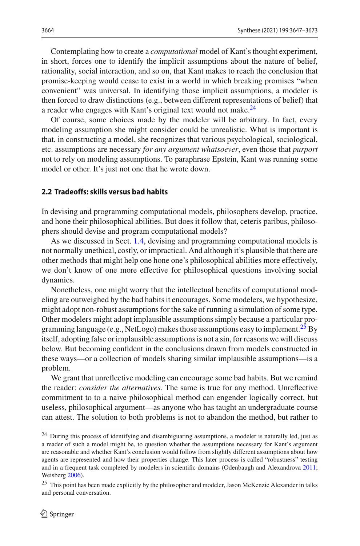Contemplating how to create a *computational* model of Kant's thought experiment, in short, forces one to identify the implicit assumptions about the nature of belief, rationality, social interaction, and so on, that Kant makes to reach the conclusion that promise-keeping would cease to exist in a world in which breaking promises "when convenient" was universal. In identifying those implicit assumptions, a modeler is then forced to draw distinctions (e.g., between different representations of belief) that a reader who engages with Kant's original text would not make.<sup>24</sup>

Of course, some choices made by the modeler will be arbitrary. In fact, every modeling assumption she might consider could be unrealistic. What is important is that, in constructing a model, she recognizes that various psychological, sociological, etc. assumptions are necessary *for any argument whatsoever*, even those that *purport* not to rely on modeling assumptions. To paraphrase Epstein, Kant was running some model or other. It's just not one that he wrote down.

## **2.2 Tradeoffs: skills versus bad habits**

In devising and programming computational models, philosophers develop, practice, and hone their philosophical abilities. But does it follow that, ceteris paribus, philosophers should devise and program computational models?

As we discussed in Sect. [1.4,](#page-13-0) devising and programming computational models is not normally unethical, costly, or impractical. And although it's plausible that there are other methods that might help one hone one's philosophical abilities more effectively, we don't know of one more effective for philosophical questions involving social dynamics.

Nonetheless, one might worry that the intellectual benefits of computational modeling are outweighed by the bad habits it encourages. Some modelers, we hypothesize, might adopt non-robust assumptions for the sake of running a simulation of some type. Other modelers might adopt implausible assumptions simply because a particular pro-gramming language (e.g., NetLogo) makes those assumptions easy to implement.<sup>[25](#page-17-1)</sup> By itself, adopting false or implausible assumptions is not a sin, for reasons we will discuss below. But becoming confident in the conclusions drawn from models constructed in these ways—or a collection of models sharing similar implausible assumptions—is a problem.

We grant that unreflective modeling can encourage some bad habits. But we remind the reader: *consider the alternatives*. The same is true for any method. Unreflective commitment to to a naive philosophical method can engender logically correct, but useless, philosophical argument—as anyone who has taught an undergraduate course can attest. The solution to both problems is not to abandon the method, but rather to

<span id="page-17-0"></span><sup>24</sup> During this process of identifying and disambiguating assumptions, a modeler is naturally led, just as a reader of such a model might be, to question whether the assumptions necessary for Kant's argument are reasonable and whether Kant's conclusion would follow from slightly different assumptions about how agents are represented and how their properties change. This later process is called "robustness" testing and in a frequent task completed by modelers in scientific domains (Odenbaugh and Alexandrov[a](#page-25-31) [2011;](#page-25-31) Weisberg [2006](#page-26-15)).

<span id="page-17-1"></span><sup>&</sup>lt;sup>25</sup> This point has been made explicitly by the philosopher and modeler, Jason McKenzie Alexander in talks and personal conversation.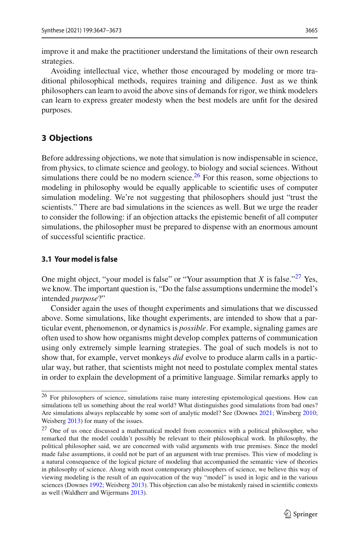improve it and make the practitioner understand the limitations of their own research strategies.

Avoiding intellectual vice, whether those encouraged by modeling or more traditional philosophical methods, requires training and diligence. Just as we think philosophers can learn to avoid the above sins of demands for rigor, we think modelers can learn to express greater modesty when the best models are unfit for the desired purposes.

# **3 Objections**

Before addressing objections, we note that simulation is now indispensable in science, from physics, to climate science and geology, to biology and social sciences. Without simulations there could be no modern science.  $^{26}$  $^{26}$  $^{26}$  For this reason, some objections to modeling in philosophy would be equally applicable to scientific uses of computer simulation modeling. We're not suggesting that philosophers should just "trust the scientists." There are bad simulations in the sciences as well. But we urge the reader to consider the following: if an objection attacks the epistemic benefit of all computer simulations, the philosopher must be prepared to dispense with an enormous amount of successful scientific practice.

# **3.1 Your model is false**

One might object, "your model is false" or "Your assumption that  $X$  is false."<sup>27</sup> Yes, we know. The important question is, "Do the false assumptions undermine the model's intended *purpose*?"

Consider again the uses of thought experiments and simulations that we discussed above. Some simulations, like thought experiments, are intended to show that a particular event, phenomenon, or dynamics is *possible*. For example, signaling games are often used to show how organisms might develop complex patterns of communication using only extremely simple learning strategies. The goal of such models is not to show that, for example, vervet monkeys *did* evolve to produce alarm calls in a particular way, but rather, that scientists might not need to postulate complex mental states in order to explain the development of a primitive language. Similar remarks apply to

<span id="page-18-0"></span><sup>26</sup> For philosophers of science, simulations raise many interesting epistemological questions. How can simulations tell us something about the real world? What distinguishes good simulations from bad ones? Are simulations always replaceable by some sort of analytic model? See (Downe[s](#page-24-30) [2021;](#page-24-30) Winsber[g](#page-26-16) [2010;](#page-26-16) Weisberg [2013](#page-26-17)) for many of the issues.

<span id="page-18-1"></span><sup>&</sup>lt;sup>27</sup> One of us once discussed a mathematical model from economics with a political philosopher, who remarked that the model couldn't possibly be relevant to their philosophical work. In philosophy, the political philosopher said, we are concerned with valid arguments with true premises. Since the model made false assumptions, it could not be part of an argument with true premises. This view of modeling is a natural consequence of the logical picture of modeling that accompanied the semantic view of theories in philosophy of science. Along with most contemporary philosophers of science, we believe this way of viewing modeling is the result of an equivocation of the way "model" is used in logic and in the various sciences (Downe[s](#page-24-31) [1992](#page-24-31); Weisber[g](#page-26-17) [2013](#page-26-17)). This objection can also be mistakenly raised in scientific contexts as well (Waldherr and Wijerman[s](#page-26-18) [2013](#page-26-18)).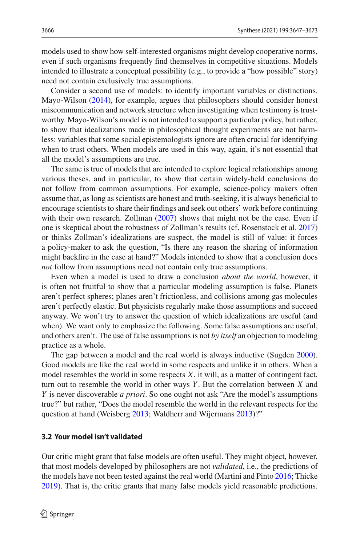models used to show how self-interested organisms might develop cooperative norms, even if such organisms frequently find themselves in competitive situations. Models intended to illustrate a conceptual possibility (e.g., to provide a "how possible" story) need not contain exclusively true assumptions.

Consider a second use of models: to identify important variables or distinctions. Mayo-Wilso[n](#page-25-4) [\(2014\)](#page-25-4), for example, argues that philosophers should consider honest miscommunication and network structure when investigating when testimony is trustworthy. Mayo-Wilson's model is not intended to support a particular policy, but rather, to show that idealizations made in philosophical thought experiments are not harmless: variables that some social epistemologists ignore are often crucial for identifying when to trust others. When models are used in this way, again, it's not essential that all the model's assumptions are true.

The same is true of models that are intended to explore logical relationships among various theses, and in particular, to show that certain widely-held conclusions do not follow from common assumptions. For example, science-policy makers often assume that, as long as scientists are honest and truth-seeking, it is always beneficial to encourage scientists to share their findings and seek out others' work before continuing with their ow[n](#page-26-6) research. Zollman [\(2007](#page-26-6)) shows that might not be the case. Even if one is skeptical about the robustness of Zollman's results (cf. Rosenstock et al[.](#page-25-14) [2017\)](#page-25-14) or thinks Zollman's idealizations are suspect, the model is still of value: it forces a policy-maker to ask the question, "Is there any reason the sharing of information might backfire in the case at hand?" Models intended to show that a conclusion does *not* follow from assumptions need not contain only true assumptions.

Even when a model is used to draw a conclusion *about the world*, however, it is often not fruitful to show that a particular modeling assumption is false. Planets aren't perfect spheres; planes aren't frictionless, and collisions among gas molecules aren't perfectly elastic. But physicists regularly make those assumptions and succeed anyway. We won't try to answer the question of which idealizations are useful (and when). We want only to emphasize the following. Some false assumptions are useful, and others aren't. The use of false assumptions is not *by itself* an objection to modeling practice as a whole.

The gap between a model and the real world is always inductive (Sugde[n](#page-25-32) [2000](#page-25-32)). Good models are like the real world in some respects and unlike it in others. When a model resembles the world in some respects *X*, it will, as a matter of contingent fact, turn out to resemble the world in other ways *Y* . But the correlation between *X* and *Y* is never discoverable *a priori*. So one ought not ask "Are the model's assumptions true?" but rather, "Does the model resemble the world in the relevant respects for the question at hand (Weisber[g](#page-26-17) [2013](#page-26-17); Waldherr and Wijerman[s](#page-26-18) [2013\)](#page-26-18)?"

#### **3.2 Your model isn't validated**

Our critic might grant that false models are often useful. They might object, however, that most models developed by philosophers are not *validated*, i.e., the predictions of the models have not been tested against the real world (Martini and Pint[o](#page-25-33) [2016;](#page-25-33) Thick[e](#page-26-0) [2019\)](#page-26-0). That is, the critic grants that many false models yield reasonable predictions.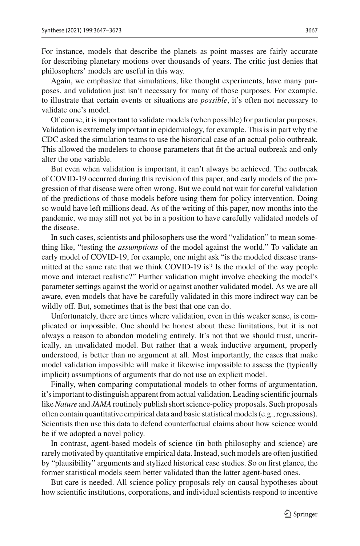For instance, models that describe the planets as point masses are fairly accurate for describing planetary motions over thousands of years. The critic just denies that philosophers' models are useful in this way.

Again, we emphasize that simulations, like thought experiments, have many purposes, and validation just isn't necessary for many of those purposes. For example, to illustrate that certain events or situations are *possible*, it's often not necessary to validate one's model.

Of course, it is important to validate models (when possible) for particular purposes. Validation is extremely important in epidemiology, for example. This is in part why the CDC asked the simulation teams to use the historical case of an actual polio outbreak. This allowed the modelers to choose parameters that fit the actual outbreak and only alter the one variable.

But even when validation is important, it can't always be achieved. The outbreak of COVID-19 occurred during this revision of this paper, and early models of the progression of that disease were often wrong. But we could not wait for careful validation of the predictions of those models before using them for policy intervention. Doing so would have left millions dead. As of the writing of this paper, now months into the pandemic, we may still not yet be in a position to have carefully validated models of the disease.

In such cases, scientists and philosophers use the word "validation" to mean something like, "testing the *assumptions* of the model against the world." To validate an early model of COVID-19, for example, one might ask "is the modeled disease transmitted at the same rate that we think COVID-19 is? Is the model of the way people move and interact realistic?" Further validation might involve checking the model's parameter settings against the world or against another validated model. As we are all aware, even models that have be carefully validated in this more indirect way can be wildly off. But, sometimes that is the best that one can do.

Unfortunately, there are times where validation, even in this weaker sense, is complicated or impossible. One should be honest about these limitations, but it is not always a reason to abandon modeling entirely. It's not that we should trust, uncritically, an unvalidated model. But rather that a weak inductive argument, properly understood, is better than no argument at all. Most importantly, the cases that make model validation impossible will make it likewise impossible to assess the (typically implicit) assumptions of arguments that do not use an explicit model.

Finally, when comparing computational models to other forms of argumentation, it's important to distinguish apparent from actual validation. Leading scientific journals like*Nature* and *JAMA*routinely publish short science-policy proposals. Such proposals often contain quantitative empirical data and basic statistical models (e.g., regressions). Scientists then use this data to defend counterfactual claims about how science would be if we adopted a novel policy.

In contrast, agent-based models of science (in both philosophy and science) are rarely motivated by quantitative empirical data. Instead, such models are often justified by "plausibility" arguments and stylized historical case studies. So on first glance, the former statistical models seem better validated than the latter agent-based ones.

But care is needed. All science policy proposals rely on causal hypotheses about how scientific institutions, corporations, and individual scientists respond to incentive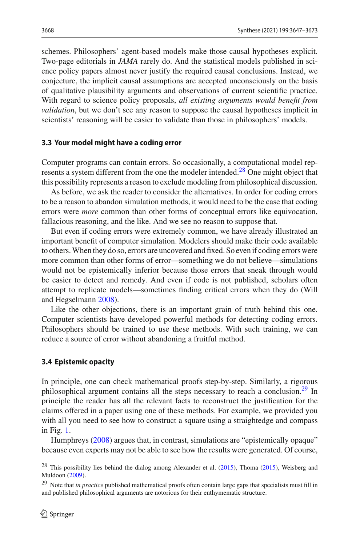schemes. Philosophers' agent-based models make those causal hypotheses explicit. Two-page editorials in *JAMA* rarely do. And the statistical models published in science policy papers almost never justify the required causal conclusions. Instead, we conjecture, the implicit causal assumptions are accepted unconsciously on the basis of qualitative plausibility arguments and observations of current scientific practice. With regard to science policy proposals, *all existing arguments would benefit from validation*, but we don't see any reason to suppose the causal hypotheses implicit in scientists' reasoning will be easier to validate than those in philosophers' models.

#### **3.3 Your model might have a coding error**

Computer programs can contain errors. So occasionally, a computational model rep-resents a system different from the one the modeler intended.<sup>[28](#page-21-0)</sup> One might object that this possibility represents a reason to exclude modeling from philosophical discussion.

As before, we ask the reader to consider the alternatives. In order for coding errors to be a reason to abandon simulation methods, it would need to be the case that coding errors were *more* common than other forms of conceptual errors like equivocation, fallacious reasoning, and the like. And we see no reason to suppose that.

But even if coding errors were extremely common, we have already illustrated an important benefit of computer simulation. Modelers should make their code available to others.When they do so, errors are uncovered and fixed. So even if coding errors were more common than other forms of error—something we do not believe—simulations would not be epistemically inferior because those errors that sneak through would be easier to detect and remedy. And even if code is not published, scholars often attempt to replicate models—sometimes finding critical errors when they do (Will and Hegselman[n](#page-26-19) [2008\)](#page-26-19).

Like the other objections, there is an important grain of truth behind this one. Computer scientists have developed powerful methods for detecting coding errors. Philosophers should be trained to use these methods. With such training, we can reduce a source of error without abandoning a fruitful method.

#### **3.4 Epistemic opacity**

In principle, one can check mathematical proofs step-by-step. Similarly, a rigorous philosophical argument contains all the steps necessary to reach a conclusion.<sup>29</sup> In principle the reader has all the relevant facts to reconstruct the justification for the claims offered in a paper using one of these methods. For example, we provided you with all you need to see how to construct a square using a straightedge and compass in Fig. [1.](#page-8-0)

Humphrey[s](#page-24-32) [\(2008\)](#page-24-32) argues that, in contrast, simulations are "epistemically opaque" because even experts may not be able to see how the results were generated. Of course,

<span id="page-21-0"></span><sup>&</sup>lt;sup>28</sup> This possibility lies behind the dialog among Alexander et al[.](#page-23-20) [\(2015](#page-23-20)), Thom[a](#page-26-20) [\(2015\)](#page-26-20), Weisberg and Muldoo[n](#page-26-21) [\(2009\)](#page-26-21).

<span id="page-21-1"></span><sup>29</sup> Note that *in practice* published mathematical proofs often contain large gaps that specialists must fill in and published philosophical arguments are notorious for their enthymematic structure.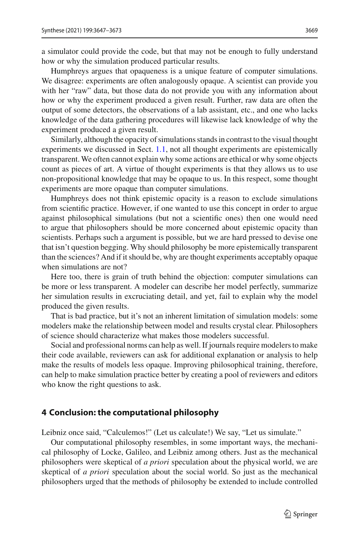a simulator could provide the code, but that may not be enough to fully understand how or why the simulation produced particular results.

Humphreys argues that opaqueness is a unique feature of computer simulations. We disagree: experiments are often analogously opaque. A scientist can provide you with her "raw" data, but those data do not provide you with any information about how or why the experiment produced a given result. Further, raw data are often the output of some detectors, the observations of a lab assistant, etc., and one who lacks knowledge of the data gathering procedures will likewise lack knowledge of why the experiment produced a given result.

Similarly, although the opacity of simulations stands in contrast to the visual thought experiments we discussed in Sect. [1.1,](#page-3-0) not all thought experiments are epistemically transparent. We often cannot explain why some actions are ethical or why some objects count as pieces of art. A virtue of thought experiments is that they allows us to use non-propositional knowledge that may be opaque to us. In this respect, some thought experiments are more opaque than computer simulations.

Humphreys does not think epistemic opacity is a reason to exclude simulations from scientific practice. However, if one wanted to use this concept in order to argue against philosophical simulations (but not a scientific ones) then one would need to argue that philosophers should be more concerned about epistemic opacity than scientists. Perhaps such a argument is possible, but we are hard pressed to devise one that isn't question begging. Why should philosophy be more epistemically transparent than the sciences? And if it should be, why are thought experiments acceptably opaque when simulations are not?

Here too, there is grain of truth behind the objection: computer simulations can be more or less transparent. A modeler can describe her model perfectly, summarize her simulation results in excruciating detail, and yet, fail to explain why the model produced the given results.

That is bad practice, but it's not an inherent limitation of simulation models: some modelers make the relationship between model and results crystal clear. Philosophers of science should characterize what makes those modelers successful.

Social and professional norms can help as well. If journals require modelers to make their code available, reviewers can ask for additional explanation or analysis to help make the results of models less opaque. Improving philosophical training, therefore, can help to make simulation practice better by creating a pool of reviewers and editors who know the right questions to ask.

#### **4 Conclusion: the computational philosophy**

Leibniz once said, "Calculemos!" (Let us calculate!) We say, "Let us simulate."

Our computational philosophy resembles, in some important ways, the mechanical philosophy of Locke, Galileo, and Leibniz among others. Just as the mechanical philosophers were skeptical of *a priori* speculation about the physical world, we are skeptical of *a priori* speculation about the social world. So just as the mechanical philosophers urged that the methods of philosophy be extended to include controlled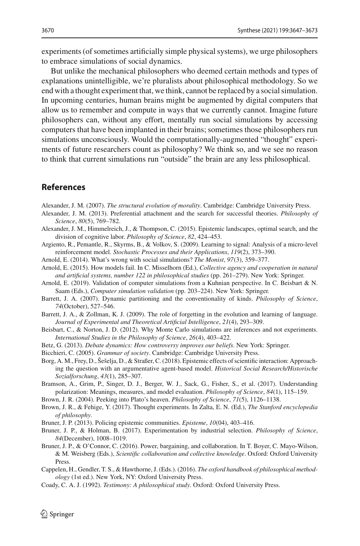experiments (of sometimes artificially simple physical systems), we urge philosophers to embrace simulations of social dynamics.

But unlike the mechanical philosophers who deemed certain methods and types of explanations unintelligible, we're pluralists about philosophical methodology. So we end with a thought experiment that, we think, cannot be replaced by a social simulation. In upcoming centuries, human brains might be augmented by digital computers that allow us to remember and compute in ways that we currently cannot. Imagine future philosophers can, without any effort, mentally run social simulations by accessing computers that have been implanted in their brains; sometimes those philosophers run simulations unconsciously. Would the computationally-augmented "thought" experiments of future researchers count as philosophy? We think so, and we see no reason to think that current simulations run "outside" the brain are any less philosophical.

# **References**

<span id="page-23-4"></span>Alexander, J. M. (2007). *The structural evolution of morality*. Cambridge: Cambridge University Press.

- <span id="page-23-8"></span>Alexander, J. M. (2013). Preferential attachment and the search for successful theories. *Philosophy of Science*, *80*(5), 769–782.
- <span id="page-23-20"></span>Alexander, J. M., Himmelreich, J., & Thompson, C. (2015). Epistemic landscapes, optimal search, and the division of cognitive labor. *Philosophy of Science*, *82*, 424–453.
- <span id="page-23-18"></span>Argiento, R., Pemantle, R., Skyrms, B., & Volkov, S. (2009). Learning to signal: Analysis of a micro-level reinforcement model. *Stochastic Processes and their Applications*, *119*(2), 373–390.
- <span id="page-23-0"></span>Arnold, E. (2014). What's wrong with social simulations? *The Monist*, *97*(3), 359–377.
- <span id="page-23-1"></span>Arnold, E. (2015). How models fail. In C. Misselhorn (Ed.), *Collective agency and cooperation in natural and artificial systems, number 122 in philosophical studies* (pp. 261–279). New York: Springer.
- <span id="page-23-2"></span>Arnold, E. (2019). Validation of computer simulations from a Kuhnian perspective. In C. Beisbart & N. Saam (Eds.), *Computer simulation validation* (pp. 203–224). New York: Springer.
- <span id="page-23-9"></span>Barrett, J. A. (2007). Dynamic partitioning and the conventionality of kinds. *Philosophy of Science*, *74*(October), 527–546.
- <span id="page-23-19"></span>Barrett, J. A., & Zollman, K. J. (2009). The role of forgetting in the evolution and learning of language. *Journal of Experimental and Theoretical Artificial Intelligence*, *21*(4), 293–309.
- <span id="page-23-14"></span>Beisbart, C., & Norton, J. D. (2012). Why Monte Carlo simulations are inferences and not experiments. *International Studies in the Philosophy of Science*, *26*(4), 403–422.
- <span id="page-23-3"></span>Betz, G. (2013). *Debate dynamics: How controversy improves our beliefs*. New York: Springer.
- <span id="page-23-5"></span>Bicchieri, C. (2005). *Grammar of society*. Cambridge: Cambridge University Press.
- <span id="page-23-10"></span>Borg, A. M., Frey, D., Šešelja, D., & Straßer, C. (2018). Epistemic effects of scientific interaction: Approaching the question with an argumentative agent-based model. *Historical Social Research/Historische Sozialforschung*, *43*(1), 285–307.
- <span id="page-23-6"></span>Bramson, A., Grim, P., Singer, D. J., Berger, W. J., Sack, G., Fisher, S., et al. (2017). Understanding polarization: Meanings, measures, and model evaluation. *Philosophy of Science*, *84*(1), 115–159.
- <span id="page-23-17"></span>Brown, J. R. (2004). Peeking into Plato's heaven. *Philosophy of Science*, *71*(5), 1126–1138.
- <span id="page-23-16"></span>Brown, J. R., & Fehige, Y. (2017). Thought experiments. In Zalta, E. N. (Ed.), *The Stanford encyclopedia of philosophy*.
- <span id="page-23-11"></span>Bruner, J. P. (2013). Policing epistemic communities. *Episteme*, *10*(04), 403–416.
- <span id="page-23-12"></span>Bruner, J. P., & Holman, B. (2017). Experimentation by industrial selection. *Philosophy of Science*, *84*(December), 1008–1019.
- <span id="page-23-7"></span>Bruner, J. P., & O'Connor, C. (2016). Power, bargaining, and collaboration. In T. Boyer, C. Mayo-Wilson, & M. Weisberg (Eds.), *Scientific collaboration and collective knowledge*. Oxford: Oxford University Press.
- <span id="page-23-13"></span>Cappelen, H., Gendler, T. S., & Hawthorne, J. (Eds.). (2016). *The oxford handbook of philosophical methodology* (1st ed.). New York, NY: Oxford University Press.
- <span id="page-23-15"></span>Coady, C. A. J. (1992). *Testimony: A philosophical study*. Oxford: Oxford University Press.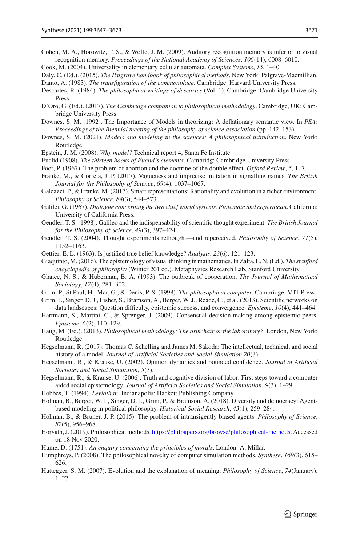- <span id="page-24-22"></span>Cohen, M. A., Horowitz, T. S., & Wolfe, J. M. (2009). Auditory recognition memory is inferior to visual recognition memory. *Proceedings of the National Academy of Sciences*, *106*(14), 6008–6010.
- <span id="page-24-25"></span>Cook, M. (2004). Universality in elementary cellular automata. *Complex Systems*, *15*, 1–40.
- <span id="page-24-11"></span>Daly, C. (Ed.). (2015). *The Palgrave handbook of philosophical methods*. New York: Palgrave-Macmillian. Danto, A. (1983). *The transfiguration of the commonplace*. Cambridge: Harvard University Press.
- <span id="page-24-23"></span><span id="page-24-16"></span>Descartes, R. (1984). *The philosophical writings of descartes* (Vol. 1). Cambridge: Cambridge University Press.
- <span id="page-24-10"></span>D'Oro, G. (Ed.). (2017). *The Cambridge companion to philosophical methodology*. Cambridge, UK: Cambridge University Press.
- <span id="page-24-31"></span>Downes, S. M. (1992). The Importance of Models in theorizing: A deflationary semantic view. In *PSA: Proceedings of the Biennial meeting of the philosophy of science association* (pp. 142–153).
- <span id="page-24-30"></span>Downes, S. M. (2021). *Models and modeling in the sciences: A philosophical introduction*. New York: Routledge.
- <span id="page-24-29"></span>Epstein, J. M. (2008). *Why model?* Technical report 4, Santa Fe Institute.
- <span id="page-24-24"></span>Euclid (1908). *The thirteen books of Euclid's elements*. Cambridg: Cambridge University Press.
- <span id="page-24-15"></span>Foot, P. (1967). The problem of abortion and the doctrine of the double effect. *Oxford Review*, *5*, 1–7.
- <span id="page-24-6"></span>Franke, M., & Correia, J. P. (2017). Vagueness and imprecise imitation in signalling games. *The British Journal for the Philosophy of Science*, *69*(4), 1037–1067.
- <span id="page-24-7"></span>Galeazzi, P., & Franke, M. (2017). Smart representations: Rationality and evolution in a richer environment. *Philosophy of Science*, *84*(3), 544–573.
- <span id="page-24-13"></span>Galilei, G. (1967). *Dialogue concerning the two chief world systems, Ptolemaic and copernican*. California: University of California Press.
- <span id="page-24-19"></span>Gendler, T. S. (1998). Galileo and the indispensability of scientific thought experiment. *The British Journal for the Philosophy of Science*, *49*(3), 397–424.
- <span id="page-24-20"></span>Gendler, T. S. (2004). Thought experiments rethought—and reperceived. *Philosophy of Science*, *71*(5), 1152–1163.
- <span id="page-24-14"></span>Gettier, E. L. (1963). Is justified true belief knowledge? *Analysis*, *23*(6), 121–123.
- <span id="page-24-21"></span>Giaquinto, M. (2016). The epistemology of visual thinking in mathematics. In Zalta, E. N. (Ed.), *The stanford encyclopedia of philosophy* (Winter 201 ed.). Metaphysics Research Lab, Stanford University.
- <span id="page-24-27"></span>Glance, N. S., & Huberman, B. A. (1993). The outbreak of cooperation. *The Journal of Mathematical Sociology*, *17*(4), 281–302.
- <span id="page-24-0"></span>Grim, P., St Paul, H., Mar, G., & Denis, P. S. (1998). *The philosophical computer*. Cambridge: MIT Press.
- <span id="page-24-8"></span>Grim, P., Singer, D. J., Fisher, S., Bramson, A., Berger, W. J., Reade, C., et al. (2013). Scientific networks on data landscapes: Question difficulty, epistemic success, and convergence. *Episteme*, *10*(4), 441–464.
- <span id="page-24-2"></span>Hartmann, S., Martini, C., & Sprenger, J. (2009). Consensual decision-making among epistemic peers. *Episteme*, *6*(2), 110–129.
- <span id="page-24-12"></span>Haug, M. (Ed.). (2013). *Philosophical methodology: The armchair or the laboratory?*. London, New York: Routledge.
- <span id="page-24-26"></span>Hegselmann, R. (2017). Thomas C. Schelling and James M. Sakoda: The intellectual, technical, and social history of a model. *Journal of Artificial Societies and Social Simulation 20*(3).
- <span id="page-24-3"></span>Hegselmann, R., & Krause, U. (2002). Opinion dynamics and bounded confidence. *Journal of Artificial Societies and Social Simulation*, *5*(3).
- <span id="page-24-4"></span>Hegselmann, R., & Krause, U. (2006). Truth and cognitive division of labor: First steps toward a computer aided social epistemology. *Journal of Artificial Societies and Social Simulation*, *9*(3), 1–29.
- <span id="page-24-17"></span>Hobbes, T. (1994). *Leviathan*. Indianapolis: Hackett Publishing Company.
- <span id="page-24-5"></span>Holman, B., Berger, W. J., Singer, D. J., Grim, P., & Bramson, A. (2018). Diversity and democracy: Agentbased modeling in political philosophy. *Historical Social Research*, *43*(1), 259–284.
- <span id="page-24-9"></span>Holman, B., & Bruner, J. P. (2015). The problem of intransigently biased agents. *Philosophy of Science*, *82*(5), 956–968.
- <span id="page-24-1"></span>Horvath, J. (2019). Philosophical methods. [https://philpapers.org/browse/philosophical-methods.](https://philpapers.org/browse/philosophical-methods) Accessed on 18 Nov 2020.
- <span id="page-24-18"></span>Hume, D. (1751). *An enquiry concerning the principles of morals*. London: A. Millar.
- <span id="page-24-32"></span>Humphreys, P. (2008). The philosophical novelty of computer simulation methods. *Synthese*, *169*(3), 615– 626.
- <span id="page-24-28"></span>Huttegger, S. M. (2007). Evolution and the explanation of meaning. *Philosophy of Science*, *74*(January), 1–27.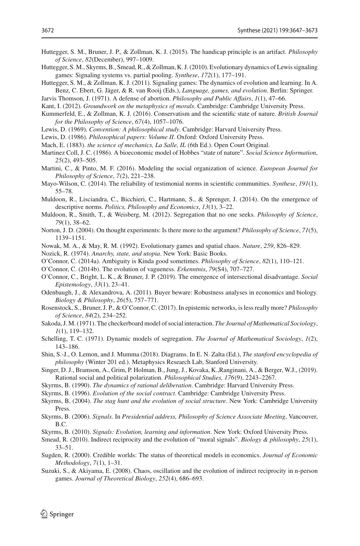- <span id="page-25-12"></span>Huttegger, S. M., Bruner, J. P., & Zollman, K. J. (2015). The handicap principle is an artifact. *Philosophy of Science*, *82*(December), 997–1009.
- <span id="page-25-9"></span>Huttegger, S. M., Skyrms, B., Smead, R., & Zollman, K. J. (2010). Evolutionary dynamics of Lewis signaling games: Signaling systems vs. partial pooling. *Synthese*, *172*(1), 177–191.
- <span id="page-25-30"></span>Huttegger, S. M., & Zollman, K. J. (2011). Signaling games: The dynamics of evolution and learning. In A. Benz, C. Ebert, G. Jäger, & R. van Rooij (Eds.), *Language, games, and evolution*. Berlin: Springer.
- <span id="page-25-18"></span>Jarvis Thomson, J. (1971). A defense of abortion. *Philosophy and Public Affairs*, *1*(1), 47–66.
- <span id="page-25-16"></span>Kant, I. (2012). *Groundwork on the metaphysics of morals*. Cambridge: Cambridge University Press.
- <span id="page-25-13"></span>Kummerfeld, E., & Zollman, K. J. (2016). Conservatism and the scientific state of nature. *British Journal for the Philosophy of Science*, *67*(4), 1057–1076.
- <span id="page-25-17"></span>Lewis, D. (1969). *Convention: A philosophical study*. Cambridge: Harvard University Press.
- <span id="page-25-19"></span>Lewis, D. (1986). *Philosophical papers: Volume II*. Oxford: Oxford University Press.
- <span id="page-25-22"></span>Mach, E. (1883). *the science of mechanics, La Salle, IL* (6th Ed.). Open Court Original.
- <span id="page-25-21"></span>Martinez Coll, J. C. (1986). A bioeconomic model of Hobbes "state of nature". *Social Science Information*, *25*(2), 493–505.
- <span id="page-25-33"></span>Martini, C., & Pinto, M. F. (2016). Modeling the social organization of science. *European Journal for Philosophy of Science*, *7*(2), 221–238.
- <span id="page-25-4"></span>Mayo-Wilson, C. (2014). The reliability of testimonial norms in scientific communities. *Synthese*, *191*(1), 55–78.
- <span id="page-25-7"></span>Muldoon, R., Lisciandra, C., Bicchieri, C., Hartmann, S., & Sprenger, J. (2014). On the emergence of descriptive norms. *Politics, Philosophy and Economics*, *13*(1), 3–22.
- <span id="page-25-6"></span>Muldoon, R., Smith, T., & Weisberg, M. (2012). Segregation that no one seeks. *Philosophy of Science*, *79*(1), 38–62.
- <span id="page-25-24"></span>Norton, J. D. (2004). On thought experiments: Is there more to the argument? *Philosophy of Science*, *71*(5), 1139–1151.
- <span id="page-25-27"></span>Nowak, M. A., & May, R. M. (1992). Evolutionary games and spatial chaos. *Nature*, *259*, 826–829.

<span id="page-25-20"></span>Nozick, R. (1974). *Anarchy, state, and utopia*. New York: Basic Books.

- <span id="page-25-10"></span>O'Connor, C. (2014a). Ambiguity is Kinda good sometimes. *Philosophy of Science*, *82*(1), 110–121.
- <span id="page-25-11"></span>O'Connor, C. (2014b). The evolution of vagueness. *Erkenntnis*, *79*(S4), 707–727.
- <span id="page-25-5"></span>O'Connor, C., Bright, L. K., & Bruner, J. P. (2019). The emergence of intersectional disadvantage. *Social Epistemology*, *33*(1), 23–41.
- <span id="page-25-31"></span>Odenbaugh, J., & Alexandrova, A. (2011). Buyer beware: Robustness analyses in economics and biology. *Biology & Philosophy*, *26*(5), 757–771.
- <span id="page-25-14"></span>Rosenstock, S., Bruner, J. P., & O'Connor, C. (2017). In epistemic networks, is less really more? *Philosophy of Science*, *84*(2), 234–252.
- <span id="page-25-26"></span>Sakoda, J. M. (1971). The checkerboard model of social interaction. *The Journal of Mathematical Sociology*, *1*(1), 119–132.
- <span id="page-25-25"></span>Schelling, T. C. (1971). Dynamic models of segregation. *The Journal of Mathematical Sociology*, *1*(2), 143–186.
- <span id="page-25-23"></span>Shin, S.-J., O. Lemon, and J. Mumma (2018). Diagrams. In E. N. Zalta (Ed.), *The stanford encyclopedia of philosophy* (Winter 201 ed.). Metaphysics Research Lab, Stanford University.
- <span id="page-25-8"></span>Singer, D. J., Bramson, A., Grim, P. Holman, B., Jung, J., Kovaka, K.,Ranginani, A., & Berger, W.J., (2019). Rational social and political polarization. *Philosophical Studies, 176*(9), 2243–2267.
- <span id="page-25-0"></span>Skyrms, B. (1990). *The dynamics of rational deliberation*. Cambridge: Harvard University Press.
- <span id="page-25-1"></span>Skyrms, B. (1996). *Evolution of the social contract*. Cambridge: Cambridge University Press.
- <span id="page-25-2"></span>Skyrms, B. (2004). *The stag hunt and the evolution of social structure*. New York: Cambridge University Press.
- <span id="page-25-29"></span>Skyrms, B. (2006). *Signals*. In *Presidential address, Philosophy of Science Associate Meeting*, Vancouver, B.C.
- <span id="page-25-3"></span>Skyrms, B. (2010). *Signals: Evolution, learning and information*. New York: Oxford University Press.
- <span id="page-25-15"></span>Smead, R. (2010). Indirect reciprocity and the evolution of "moral signals". *Biology & philosophy*, *25*(1), 33–51.
- <span id="page-25-32"></span>Sugden, R. (2000). Credible worlds: The status of theoretical models in economics. *Journal of Economic Methodology*, *7*(1), 1–31.
- <span id="page-25-28"></span>Suzuki, S., & Akiyama, E. (2008). Chaos, oscillation and the evolution of indirect reciprocity in n-person games. *Journal of Theoretical Biology*, *252*(4), 686–693.